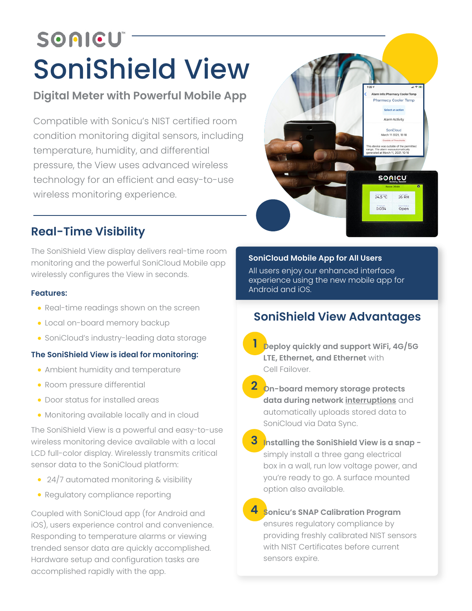# SOAICU SoniShield View

# **Digital Meter with Powerful Mobile App**

Compatible with Sonicu's NIST certified room condition monitoring digital sensors, including temperature, humidity, and differential pressure, the View uses advanced wireless technology for an efficient and easy-to-use wireless monitoring experience.



# **Real-Time Visibility**

The SoniShield View display delivers real-time room monitoring and the powerful SoniCloud Mobile app wirelessly configures the View in seconds.

#### **Features:**

- Real-time readings shown on the screen
- Local on-board memory backup
- SoniCloud's industry-leading data storage

## **The SoniShield View is ideal for monitoring:**

- Ambient humidity and temperature
- Room pressure differential
- Door status for installed areas
- Monitoring available locally and in cloud

The SoniShield View is a powerful and easy-to-use wireless monitoring device available with a local LCD full-color display. Wirelessly transmits critical sensor data to the SoniCloud platform:

- 24/7 automated monitoring & visibility
- Regulatory compliance reporting

Coupled with SoniCloud app (for Android and iOS), users experience control and convenience. Responding to temperature alarms or viewing trended sensor data are quickly accomplished. Hardware setup and configuration tasks are accomplished rapidly with the app.

## **SoniCloud Mobile App for All Users**

All users enjoy our enhanced interface experience using the new mobile app for Android and iOS.

# **SoniShield View Advantages**

- **1 Deploy quickly and support WiFi, 4G/5G LTE, Ethernet, and Ethernet** with Cell Failover.
- **2 On-board memory storage protects data during network interruptions** and automatically uploads stored data to SoniCloud via Data Sync.
- **3 Installing the SoniShield View is a snap**  simply install a three gang electrical box in a wall, run low voltage power, and you're ready to go. A surface mounted option also available.
- **4 Sonicu's SNAP Calibration Program**  ensures regulatory compliance by providing freshly calibrated NIST sensors with NIST Certificates before current sensors expire.